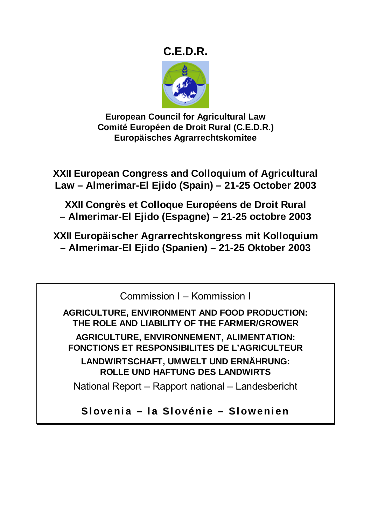# **C.E.D.R.**



**European Council for Agricultural Law Comité Européen de Droit Rural (C.E.D.R.) Europäisches Agrarrechtskomitee** 

**XXII European Congress and Colloquium of Agricultural Law – Almerimar-El Ejido (Spain) – 21-25 October 2003** 

**XXII Congrès et Colloque Européens de Droit Rural – Almerimar-El Ejido (Espagne) – 21-25 octobre 2003** 

**XXII Europäischer Agrarrechtskongress mit Kolloquium – Almerimar-El Ejido (Spanien) – 21-25 Oktober 2003** 

Commission I – Kommission I

**AGRICULTURE, ENVIRONMENT AND FOOD PRODUCTION: THE ROLE AND LIABILITY OF THE FARMER/GROWER AGRICULTURE, ENVIRONNEMENT, ALIMENTATION: FONCTIONS ET RESPONSIBILITES DE L'AGRICULTEUR** 

**LANDWIRTSCHAFT, UMWELT UND ERNÄHRUNG: ROLLE UND HAFTUNG DES LANDWIRTS** 

National Report – Rapport national – Landesbericht

**Slovenia – la Slovénie – Slowenien**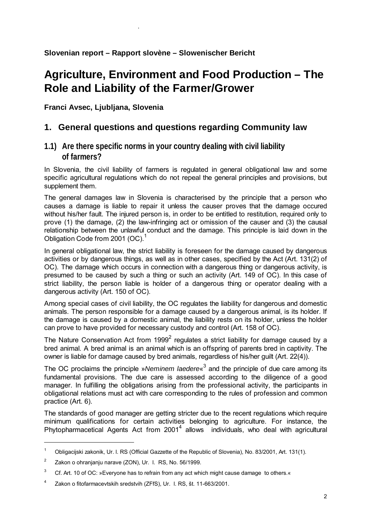# **Agriculture, Environment and Food Production – The Role and Liability of the Farmer/Grower**

**Franci Avsec, Ljubljana, Slovenia** 

.

## **1. General questions and questions regarding Community law**

## **1.1) Are there specific norms in your country dealing with civil liability of farmers?**

In Slovenia, the civil liability of farmers is regulated in general obligational law and some specific agricultural regulations which do not repeal the general principles and provisions, but supplement them.

The general damages law in Slovenia is characterised by the principle that a person who causes a damage is liable to repair it unless the causer proves that the damage occured without his/her fault. The injured person is, in order to be entitled to restitution, required only to prove (1) the damage, (2) the law-infringing act or omission of the causer and (3) the causal relationship between the unlawful conduct and the damage. This principle is laid down in the Obligation Code from 2001 (OC).<sup>1</sup>

In general obligational law, the strict liability is foreseen for the damage caused by dangerous activities or by dangerous things, as well as in other cases, specified by the Act (Art. 131(2) of OC). The damage which occurs in connection with a dangerous thing or dangerous activity, is presumed to be caused by such a thing or such an activity (Art. 149 of OC). In this case of strict liability, the person liable is holder of a dangerous thing or operator dealing with a dangerous activity (Art. 150 of OC).

Among special cases of civil liability, the OC regulates the liability for dangerous and domestic animals. The person responsible for a damage caused by a dangerous animal, is its holder. If the damage is caused by a domestic animal, the liability rests on its holder, unless the holder can prove to have provided for necessary custody and control (Art. 158 of OC).

The Nature Conservation Act from 1999<sup>2</sup> regulates a strict liability for damage caused by a bred animal. A bred animal is an animal which is an offspring of parents bred in captivity. The owner is liable for damage caused by bred animals, regardless of his/her guilt (Art. 22(4)).

The OC proclaims the principle »*Neminem laedere*« 3 and the principle of due care among its fundamental provisions. The due care is assessed according to the diligence of a good manager. In fulfilling the obligations arising from the professional activity, the participants in obligational relations must act with care corresponding to the rules of profession and common practice (Art. 6).

The standards of good manager are getting stricter due to the recent regulations which require minimum qualifications for certain activities belonging to agriculture. For instance, the Phytopharmacetical Agents Act from 2001<sup>4</sup> allows individuals, who deal with agricultural

 $\overline{a}$ 

<sup>1</sup> Obligacijski zakonik, Ur. l. RS (Official Gazzette of the Republic of Slovenia), No. 83/2001, Art. 131(1).

<sup>2</sup> Zakon o ohranjanju narave (ZON), Ur. l. RS, No. 56/1999.

<sup>3</sup> Cf. Art. 10 of OC: »Everyone has to refrain from any act which might cause damage to others.«

<sup>4</sup> Zakon o fitofarmacevtskih sredstvih (ZFfS), Ur. l. RS, št. 11-663/2001.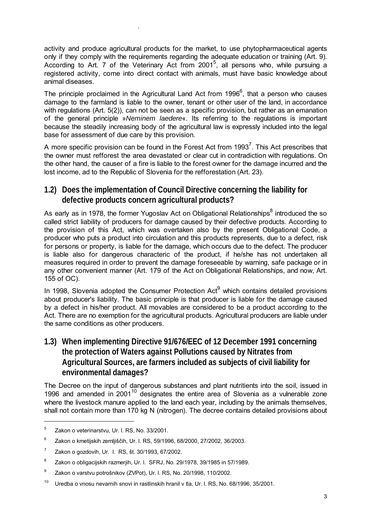activity and produce agricultural products for the market, to use phytopharmaceutical agents only if they comply with the requirements regarding the adequate education or training (Art. 9). According to Art. 7 of the Veterinary Act from 2001<sup>5</sup>, all persons who, while pursuing a registered activity, come into direct contact with animals, must have basic knowledge about animal diseases.

The principle proclaimed in the Agricultural Land Act from 1996<sup>6</sup>, that a person who causes damage to the farmland is liable to the owner, tenant or other user of the land, in accordance with regulations (Art. 5(2)), can not be seen as a specific provision, but rather as an emanation of the general principle »*Neminem laedere*«. Its referring to the regulations is important because the steadily increasing body of the agricultural law is expressly included into the legal base for assessment of due care by this provision.

A more specific provision can be found in the Forest Act from 1993<sup>7</sup>. This Act prescribes that the owner must refforest the area devastated or clear cut in contradiction with regulations. On the other hand, the causer of a fire is liable to the forest owner for the damage incurred and the lost income, ad to the Republic of Slovenia for the refforestation (Art. 23).

## **1.2) Does the implementation of Council Directive concerning the liability for defective products concern agricultural products?**

As early as in 1978, the former Yugoslav Act on Obligational Relationships<sup>8</sup> introduced the so called strict liability of producers for damage caused by their defective products. According to the provision of this Act, which was overtaken also by the present Obligational Code, a producer who puts a product into circulation and this products represents, due to a defect, risk for persons or property, is liable for the damage, which occurs due to the defect. The producer is liable also for dangerous characteric of the product, if he/she has not undertaken all measures required in order to prevent the damage foreseeable by warning, safe package or in any other convenient manner (Art. 179 of the Act on Obligational Relationships, and now, Art. 155 of OC).

In 1998, Slovenia adopted the Consumer Protection Act $<sup>9</sup>$  which contains detailed provisions</sup> about producer's liability. The basic principle is that producer is liable for the damage caused by a defect in his/her product. All movables are considered to be a product according to the Act. There are no exemption for the agricultural products. Agricultural producers are liable under the same conditions as other producers.

## **1.3) When implementing Directive 91/676/EEC of 12 December 1991 concerning the protection of Waters against Pollutions caused by Nitrates from Agricultural Sources, are farmers included as subjects of civil liability for environmental damages?**

The Decree on the input of dangerous substances and plant nutritients into the soil, issued in 1996 and amended in  $2001^{10}$  designates the entire area of Slovenia as a vulnerable zone where the livestock manure applied to the land each year, including by the animals themselves, shall not contain more than 170 kg N (nitrogen). The decree contains detailed provisions about

.

<sup>5</sup> Zakon o veterinarstvu, Ur. l. RS, No. 33/2001.

<sup>6</sup> Zakon o kmetijskih zemljiščih, Ur. l. RS, 59/1996, 68/2000, 27/2002, 36/2003.

<sup>7</sup> Zakon o gozdovih, Ur. l. RS, št. 30/1993, 67/2002.

<sup>8</sup> Zakon o obligacijskih razmerjih, Ur. l. SFRJ, No. 29/1978, 39/1985 in 57/1989.

<sup>9</sup> Zakon o varstvu potrošnikov (ZVPot), Ur. l. RS, No. 20/1998, 110/2002.

<sup>10</sup> Uredba o vnosu nevarnih snovi in rastlinskih hranil v tla, Ur. l. RS, No. 68/1996, 35/2001.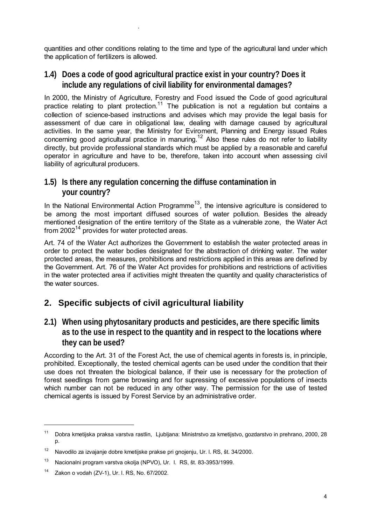quantities and other conditions relating to the time and type of the agricultural land under which the application of fertilizers is allowed.

### **1.4) Does a code of good agricultural practice exist in your country? Does it include any regulations of civil liability for environmental damages?**

.

In 2000, the Ministry of Agriculture, Forestry and Food issued the Code of good agricultural practice relating to plant protection.<sup>11</sup> The publication is not a regulation but contains a collection of science-based instructions and advises which may provide the legal basis for assessment of due care in obligational law, dealing with damage caused by agricultural activities. In the same year, the Ministry for Eviroment, Planning and Energy issued Rules concerning good agricultural practice in manuring.12 Also these rules do not refer to liability directly, but provide professional standards which must be applied by a reasonable and careful operator in agriculture and have to be, therefore, taken into account when assessing civil liability of agricultural producers.

## **1.5) Is there any regulation concerning the diffuse contamination in your country?**

In the National Environmental Action Programme<sup>13</sup>, the intensive agriculture is considered to be among the most important diffused sources of water pollution. Besides the already mentioned designation of the entire territory of the State as a vulnerable zone, the Water Act from  $2002^{14}$  provides for water protected areas.

Art. 74 of the Water Act authorizes the Government to establish the water protected areas in order to protect the water bodies designated for the abstraction of drinking water. The water protected areas, the measures, prohibitions and restrictions applied in this areas are defined by the Government. Art. 76 of the Water Act provides for prohibitions and restrictions of activities in the water protected area if activities might threaten the quantity and quality characteristics of the water sources.

## **2. Specific subjects of civil agricultural liability**

**2.1) When using phytosanitary products and pesticides, are there specific limits as to the use in respect to the quantity and in respect to the locations where they can be used?** 

According to the Art. 31 of the Forest Act, the use of chemical agents in forests is, in principle, prohibited. Exceptionally, the tested chemical agents can be used under the condition that their use does not threaten the biological balance, if their use is necessary for the protection of forest seedlings from game browsing and for supressing of excessive populations of insects which number can not be reduced in any other way. The permission for the use of tested chemical agents is issued by Forest Service by an administrative order.

<sup>11</sup> Dobra kmetijska praksa varstva rastlin, Ljubljana: Ministrstvo za kmetijstvo, gozdarstvo in prehrano, 2000, 28 p.

<sup>12</sup> Navodilo za izvajanje dobre kmetijske prakse pri gnojenju, Ur. l. RS, št. 34/2000.

<sup>13</sup> Nacionalni program varstva okolja (NPVO), Ur. l. RS, št. 83-3953/1999.

<sup>14</sup> Zakon o vodah (ZV-1), Ur. l. RS, No. 67/2002.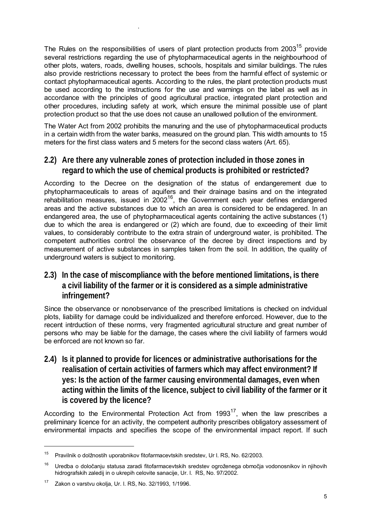The Rules on the responsibilities of users of plant protection products from 2003<sup>15</sup> provide several restrictions regarding the use of phytopharmaceutical agents in the neighbourhood of other plots, waters, roads, dwelling houses, schools, hospitals and similar buildings. The rules also provide restrictions necessary to protect the bees from the harmful effect of systemic or contact phytopharmaceutical agents. According to the rules, the plant protection products must be used according to the instructions for the use and warnings on the label as well as in accordance with the principles of good agricultural practice, integrated plant protection and other procedures, including safety at work, which ensure the minimal possible use of plant protection product so that the use does not cause an unallowed pollution of the environment.

.

The Water Act from 2002 prohibits the manuring and the use of phytopharmaceutical products in a certain width from the water banks, measured on the ground plan. This width amounts to 15 meters for the first class waters and 5 meters for the second class waters (Art. 65).

### **2.2) Are there any vulnerable zones of protection included in those zones in regard to which the use of chemical products is prohibited or restricted?**

According to the Decree on the designation of the status of endangerement due to phytopharmaceuticals to areas of aquifers and their drainage basins and on the integrated rehabilitation measures, issued in  $2002^{16}$ , the Government each year defines endangered areas and the active substances due to which an area is considered to be endagered. In an endangered area, the use of phytopharmaceutical agents containing the active substances (1) due to which the area is endangered or (2) which are found, due to exceeding of their limit values, to considerably contribute to the extra strain of underground water, is prohibited. The competent authorities control the observance of the decree by direct inspections and by measurement of active substances in samples taken from the soil. In addition, the quality of underground waters is subject to monitoring.

### **2.3) In the case of miscompliance with the before mentioned limitations, is there a civil liability of the farmer or it is considered as a simple administrative infringement?**

Since the observance or nonobservance of the prescribed limitations is checked on indvidual plots, liability for damage could be individualized and therefore enforced. However, due to the recent intrduction of these norms, very fragmented agricultural structure and great number of persons who may be liable for the damage, the cases where the civil liability of farmers would be enforced are not known so far.

**2.4) Is it planned to provide for licences or administrative authorisations for the realisation of certain activities of farmers which may affect environment? If yes: Is the action of the farmer causing environmental damages, even when acting within the limits of the licence, subject to civil liability of the farmer or it is covered by the licence?** 

According to the Environmental Protection Act from  $1993^{17}$ , when the law prescribes a preliminary licence for an activity, the competent authority prescribes obligatory assessment of environmental impacts and specifies the scope of the environmental impact report. If such

 $\overline{a}$ 

<sup>15</sup> Pravilnik o dolžnostih uporabnikov fitofarmacevtskih sredstev, Ur l. RS, No. 62/2003.

<sup>&</sup>lt;sup>16</sup> Uredba o določanju statusa zaradi fitofarmacevtskih sredstev ogroženega območja vodonosnikov in njihovih hidrografskih zaledij in o ukrepih celovite sanacije, Ur. l. RS, No. 97/2002.

<sup>17</sup> Zakon o varstvu okolja, Ur. l. RS, No. 32/1993, 1/1996.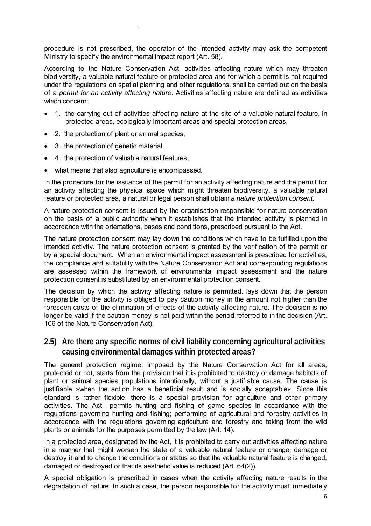procedure is not prescribed, the operator of the intended activity may ask the competent Ministry to specify the environmental impact report (Art. 58).

According to the Nature Conservation Act, activities affecting nature which may threaten biodiversity, a valuable natural feature or protected area and for which a permit is not required under the regulations on spatial planning and other regulations, shall be carried out on the basis of a *permit for an activity affecting nature*. Activities affecting nature are defined as activities which concern:

- 1. the carrying-out of activities affecting nature at the site of a valuable natural feature, in protected areas, ecologically important areas and special protection areas,
- 2. the protection of plant or animal species,
- 3. the protection of genetic material,

.

- 4. the protection of valuable natural features,
- what means that also agriculture is encompassed.

In the procedure for the issuance of the permit for an activity affecting nature and the permit for an activity affecting the physical space which might threaten biodiversity, a valuable natural feature or protected area, a natural or legal person shall obtain *a nature protection consent*.

A nature protection consent is issued by the organisation responsible for nature conservation on the basis of a public authority when it establishes that the intended activity is planned in accordance with the orientations, bases and conditions, prescribed pursuant to the Act.

The nature protection consent may lay down the conditions which have to be fulfilled upon the intended activity. The nature protection consent is granted by the verification of the permit or by a special document. When an environmental impact assessment is prescribed for activities, the compliance and suitability with the Nature Conservation Act and corresponding regulations are assessed within the framework of environmental impact assessment and the nature protection consent is substituted by an environmental protection consent.

The decision by which the activity affecting nature is permitted, lays down that the person responsible for the activity is obliged to pay caution money in the amount not higher than the foreseen costs of the elimination of effects of the activity affecting nature. The decision is no longer be valid if the caution money is not paid within the period referred to in the decision (Art. 106 of the Nature Conservation Act).

#### **2.5) Are there any specific norms of civil liability concerning agricultural activities causing environmental damages within protected areas?**

The general protection regime, imposed by the Nature Conservation Act for all areas, protected or not, starts from the provision that it is prohibited to destroy or damage habitats of plant or animal species populations intentionally, without a justifiable cause. The cause is justifiable »when the action has a beneficial result and is socially acceptable«. Since this standard is rather flexible, there is a special provision for agriculture and other primary activities. The Act permits hunting and fishing of game species in accordance with the regulations governing hunting and fishing; performing of agricultural and forestry activities in accordance with the regulations governing agriculture and forestry and taking from the wild plants or animals for the purposes permitted by the law (Art. 14).

In a protected area, designated by the Act, it is prohibited to carry out activities affecting nature in a manner that might worsen the state of a valuable natural feature or change, damage or destroy it and to change the conditions or status so that the valuable natural feature is changed, damaged or destroyed or that its aesthetic value is reduced (Art. 64(2)).

A special obligation is prescribed in cases when the activity affecting nature results in the degradation of nature. In such a case, the person responsible for the activity must immediately